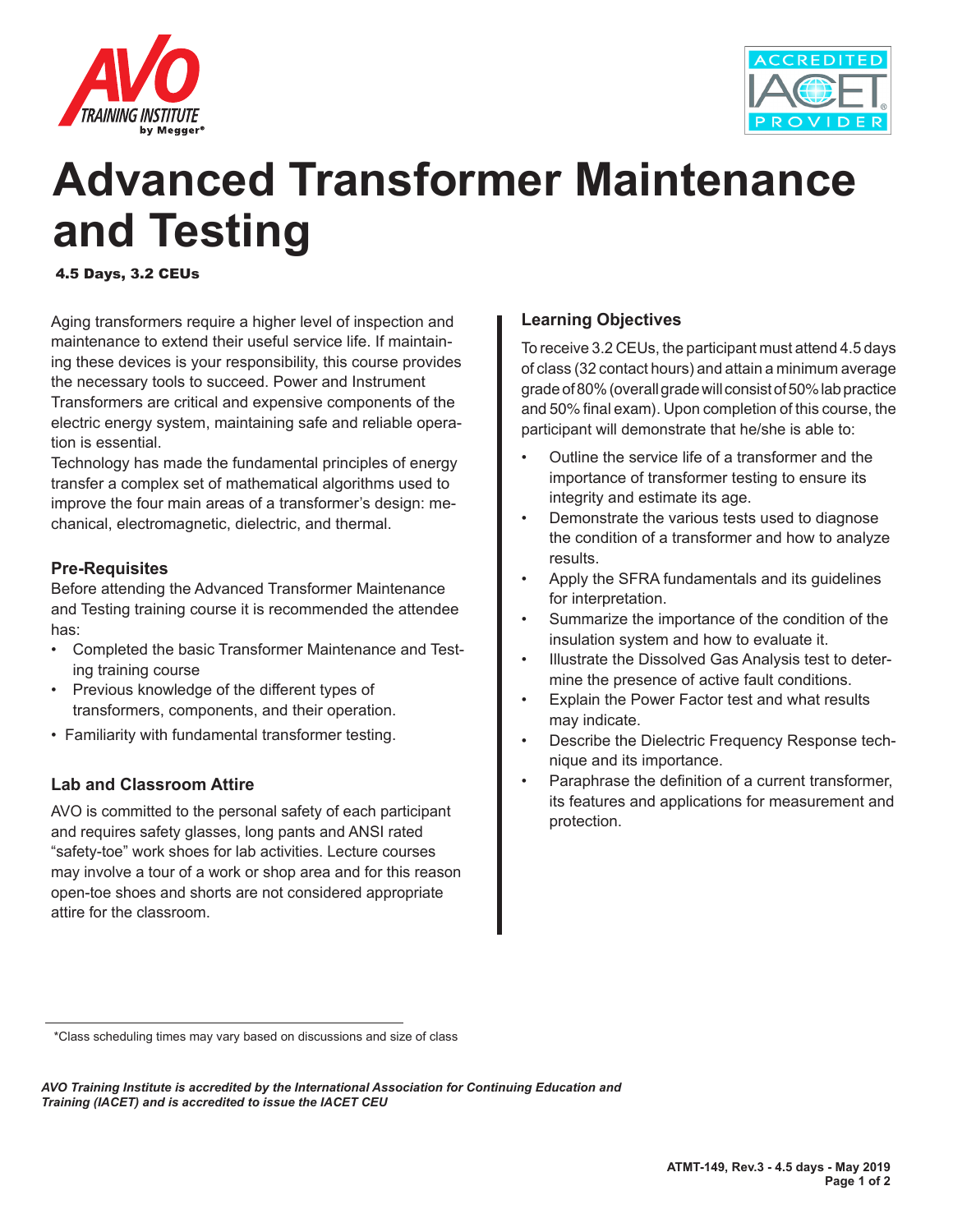



# **Advanced Transformer Maintenance and Testing**

4.5 Days, 3.2 CEUs

Aging transformers require a higher level of inspection and maintenance to extend their useful service life. If maintaining these devices is your responsibility, this course provides the necessary tools to succeed. Power and Instrument Transformers are critical and expensive components of the electric energy system, maintaining safe and reliable operation is essential.

Technology has made the fundamental principles of energy transfer a complex set of mathematical algorithms used to improve the four main areas of a transformer's design: mechanical, electromagnetic, dielectric, and thermal.

#### **Pre-Requisites**

Before attending the Advanced Transformer Maintenance and Testing training course it is recommended the attendee has:

- Completed the basic Transformer Maintenance and Testing training course
- Previous knowledge of the different types of transformers, components, and their operation.
- Familiarity with fundamental transformer testing.

#### **Lab and Classroom Attire**

AVO is committed to the personal safety of each participant and requires safety glasses, long pants and ANSI rated "safety-toe" work shoes for lab activities. Lecture courses may involve a tour of a work or shop area and for this reason open-toe shoes and shorts are not considered appropriate attire for the classroom.

### **Learning Objectives**

To receive 3.2 CEUs, the participant must attend 4.5 days of class (32 contact hours) and attain a minimum average grade of 80% (overall grade will consist of 50% lab practice and 50% final exam). Upon completion of this course, the participant will demonstrate that he/she is able to:

- Outline the service life of a transformer and the importance of transformer testing to ensure its integrity and estimate its age.
- Demonstrate the various tests used to diagnose the condition of a transformer and how to analyze results.
- Apply the SFRA fundamentals and its guidelines for interpretation.
- Summarize the importance of the condition of the insulation system and how to evaluate it.
- Illustrate the Dissolved Gas Analysis test to determine the presence of active fault conditions.
- Explain the Power Factor test and what results may indicate.
- Describe the Dielectric Frequency Response technique and its importance.
- Paraphrase the definition of a current transformer, its features and applications for measurement and protection.

*AVO Training Institute is accredited by the International Association for Continuing Education and Training (IACET) and is accredited to issue the IACET CEU*

 <sup>\*</sup>Class scheduling times may vary based on discussions and size of class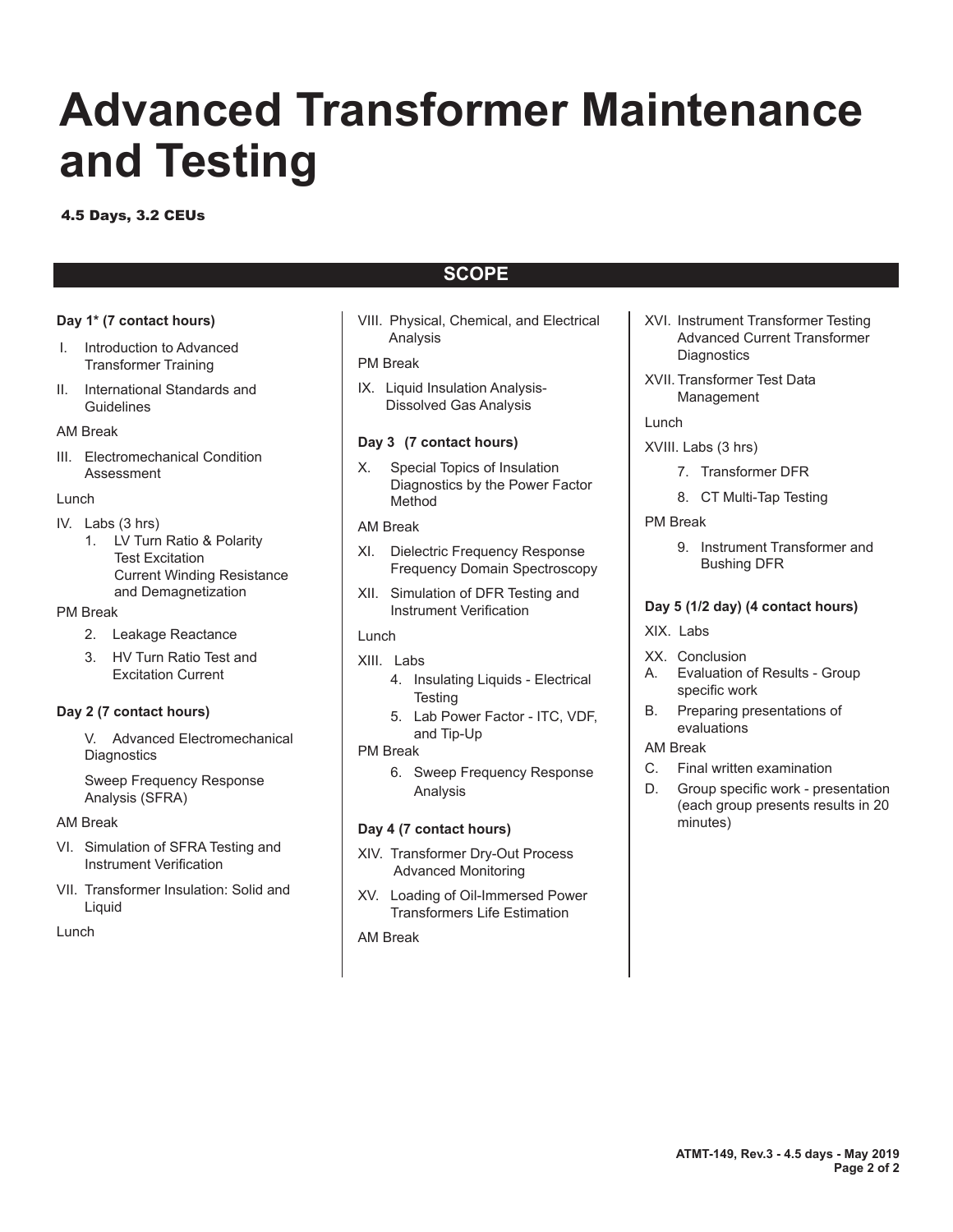# **Advanced Transformer Maintenance and Testing**

4.5 Days, 3.2 CEUs

## **SCOPE**

#### **Day 1\* (7 contact hours)**

- I. Introduction to Advanced Transformer Training
- II. International Standards and **Guidelines**

#### AM Break

III. Electromechanical Condition Assessment

#### Lunch

- IV. Labs (3 hrs)
	- 1. LV Turn Ratio & Polarity Test Excitation Current Winding Resistance and Demagnetization

#### PM Break

- 2. Leakage Reactance
- 3. HV Turn Ratio Test and Excitation Current

#### **Day 2 (7 contact hours)**

V. Advanced Electromechanical **Diagnostics** 

 Sweep Frequency Response Analysis (SFRA)

- AM Break
- VI. Simulation of SFRA Testing and Instrument Verification
- VII. Transformer Insulation: Solid and Liquid

Lunch

VIII. Physical, Chemical, and Electrical Analysis

#### PM Break

IX. Liquid Insulation Analysis-Dissolved Gas Analysis

#### **Day 3 (7 contact hours)**

X. Special Topics of Insulation Diagnostics by the Power Factor Method

#### AM Break

- XI. Dielectric Frequency Response Frequency Domain Spectroscopy
- XII. Simulation of DFR Testing and Instrument Verification

#### Lunch

- XIII. Labs
	- 4. Insulating Liquids Electrical **Testing**
	- 5. Lab Power Factor ITC, VDF, and Tip-Up

#### PM Break

6. Sweep Frequency Response Analysis

#### **Day 4 (7 contact hours)**

- XIV. Transformer Dry-Out Process Advanced Monitoring
- XV. Loading of Oil-Immersed Power Transformers Life Estimation

#### AM Break

- XVI. Instrument Transformer Testing Advanced Current Transformer **Diagnostics**
- XVII. Transformer Test Data Management

#### Lunch

- XVIII. Labs (3 hrs)
	- 7. Transformer DFR
	- 8. CT Multi-Tap Testing

#### PM Break

9. Instrument Transformer and Bushing DFR

#### **Day 5 (1/2 day) (4 contact hours)**

- XIX. Labs
- XX. Conclusion
- A. Evaluation of Results Group specific work
- B. Preparing presentations of evaluations

#### AM Break

- C. Final written examination
- D. Group specific work presentation (each group presents results in 20 minutes)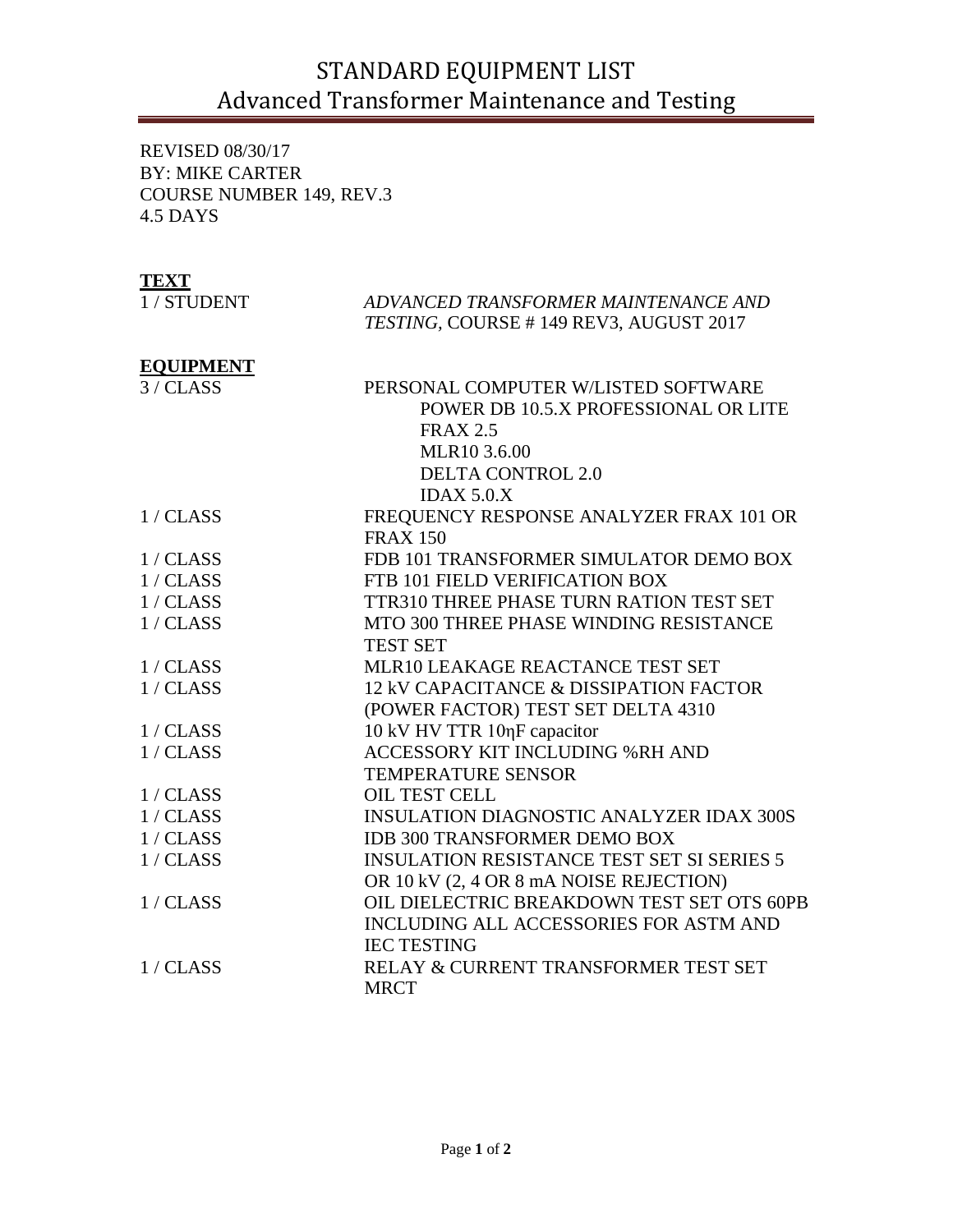# STANDARD EQUIPMENT LIST Advanced Transformer Maintenance and Testing

REVISED 08/30/17 BY: MIKE CARTER COURSE NUMBER 149, REV.3 4.5 DAYS

## **TEXT**

| 1 / STUDENT      | ADVANCED TRANSFORMER MAINTENANCE AND              |
|------------------|---------------------------------------------------|
|                  | TESTING, COURSE #149 REV3, AUGUST 2017            |
| <b>EQUIPMENT</b> |                                                   |
| 3 / CLASS        | PERSONAL COMPUTER W/LISTED SOFTWARE               |
|                  | POWER DB 10.5.X PROFESSIONAL OR LITE              |
|                  | <b>FRAX 2.5</b>                                   |
|                  | MLR10 3.6.00                                      |
|                  | <b>DELTA CONTROL 2.0</b>                          |
|                  | IDAX $5.0.X$                                      |
| 1/CLAS           | FREQUENCY RESPONSE ANALYZER FRAX 101 OR           |
|                  | <b>FRAX 150</b>                                   |
| 1/CLASS          | FDB 101 TRANSFORMER SIMULATOR DEMO BOX            |
| 1/CLAS           | FTB 101 FIELD VERIFICATION BOX                    |
| 1/CLASS          | TTR310 THREE PHASE TURN RATION TEST SET           |
| 1/CLAS           | MTO 300 THREE PHASE WINDING RESISTANCE            |
|                  | <b>TEST SET</b>                                   |
| 1/CLASS          | MLR10 LEAKAGE REACTANCE TEST SET                  |
| 1/CLAS           | 12 kV CAPACITANCE & DISSIPATION FACTOR            |
|                  | (POWER FACTOR) TEST SET DELTA 4310                |
| 1/CLAS           | 10 kV HV TTR 10ηF capacitor                       |
| 1/CLAS           | <b>ACCESSORY KIT INCLUDING %RH AND</b>            |
|                  | <b>TEMPERATURE SENSOR</b>                         |
| 1/CLASS          | OIL TEST CELL                                     |
| 1/CLAS           | <b>INSULATION DIAGNOSTIC ANALYZER IDAX 300S</b>   |
| 1/CLAS           | <b>IDB 300 TRANSFORMER DEMO BOX</b>               |
| 1/CLASS          | <b>INSULATION RESISTANCE TEST SET SI SERIES 5</b> |
|                  | OR 10 kV (2, 4 OR 8 mA NOISE REJECTION)           |
| 1/CLASS          | OIL DIELECTRIC BREAKDOWN TEST SET OTS 60PB        |
|                  | INCLUDING ALL ACCESSORIES FOR ASTM AND            |
|                  | <b>IEC TESTING</b>                                |
| 1/CLAS           | RELAY & CURRENT TRANSFORMER TEST SET              |
|                  | <b>MRCT</b>                                       |